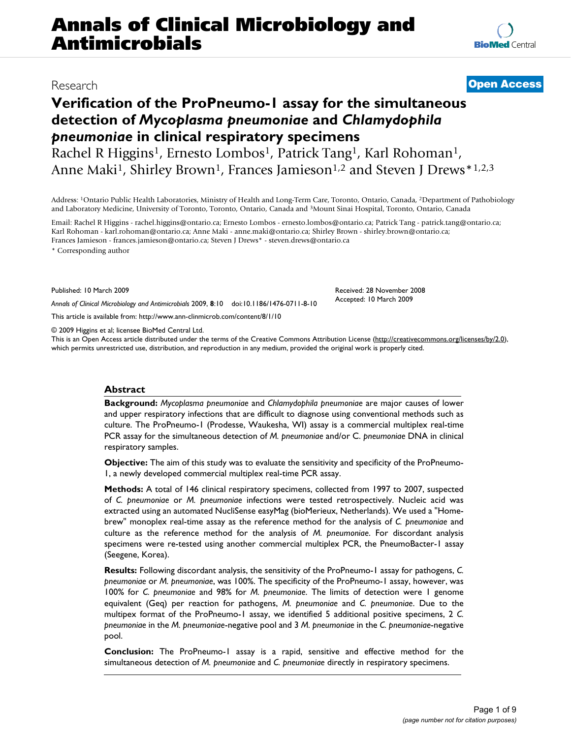# **Verification of the ProPneumo-1 assay for the simultaneous detection of** *Mycoplasma pneumoniae* **and** *Chlamydophila pneumoniae* **in clinical respiratory specimens**

Rachel R Higgins<sup>1</sup>, Ernesto Lombos<sup>1</sup>, Patrick Tang<sup>1</sup>, Karl Rohoman<sup>1</sup>, Anne Maki<sup>1</sup>, Shirley Brown<sup>1</sup>, Frances Jamieson<sup>1,2</sup> and Steven J Drews<sup>\*1,2,3</sup>

Address: 1Ontario Public Health Laboratories, Ministry of Health and Long-Term Care, Toronto, Ontario, Canada, 2Department of Pathobiology and Laboratory Medicine, University of Toronto, Toronto, Ontario, Canada and 3Mount Sinai Hospital, Toronto, Ontario, Canada

Email: Rachel R Higgins - rachel.higgins@ontario.ca; Ernesto Lombos - ernesto.lombos@ontario.ca; Patrick Tang - patrick.tang@ontario.ca; Karl Rohoman - karl.rohoman@ontario.ca; Anne Maki - anne.maki@ontario.ca; Shirley Brown - shirley.brown@ontario.ca; Frances Jamieson - frances.jamieson@ontario.ca; Steven J Drews\* - steven.drews@ontario.ca

\* Corresponding author

Published: 10 March 2009

*Annals of Clinical Microbiology and Antimicrobials* 2009, **8**:10 doi:10.1186/1476-0711-8-10

[This article is available from: http://www.ann-clinmicrob.com/content/8/1/10](http://www.ann-clinmicrob.com/content/8/1/10)

© 2009 Higgins et al; licensee BioMed Central Ltd.

This is an Open Access article distributed under the terms of the Creative Commons Attribution License [\(http://creativecommons.org/licenses/by/2.0\)](http://creativecommons.org/licenses/by/2.0), which permits unrestricted use, distribution, and reproduction in any medium, provided the original work is properly cited.

#### **Abstract**

**Background:** *Mycoplasma pneumoniae* and *Chlamydophila pneumoniae* are major causes of lower and upper respiratory infections that are difficult to diagnose using conventional methods such as culture. The ProPneumo-1 (Prodesse, Waukesha, WI) assay is a commercial multiplex real-time PCR assay for the simultaneous detection of *M. pneumoniae* and/or C. *pneumoniae* DNA in clinical respiratory samples.

**Objective:** The aim of this study was to evaluate the sensitivity and specificity of the ProPneumo-1, a newly developed commercial multiplex real-time PCR assay.

**Methods:** A total of 146 clinical respiratory specimens, collected from 1997 to 2007, suspected of *C. pneumoniae* or *M. pneumoniae* infections were tested retrospectively. Nucleic acid was extracted using an automated NucliSense easyMag (bioMerieux, Netherlands). We used a "Homebrew" monoplex real-time assay as the reference method for the analysis of *C. pneumoniae* and culture as the reference method for the analysis of *M. pneumoniae*. For discordant analysis specimens were re-tested using another commercial multiplex PCR, the PneumoBacter-1 assay (Seegene, Korea).

**Results:** Following discordant analysis, the sensitivity of the ProPneumo-1 assay for pathogens, *C. pneumoniae* or *M. pneumoniae*, was 100%. The specificity of the ProPneumo-1 assay, however, was 100% for *C. pneumoniae* and 98% for *M. pneumoniae*. The limits of detection were 1 genome equivalent (Geq) per reaction for pathogens, *M. pneumoniae* and *C. pneumoniae*. Due to the multipex format of the ProPneumo-1 assay, we identified 5 additional positive specimens, 2 *C. pneumoniae* in the *M. pneumoniae*-negative pool and 3 *M. pneumoniae* in the *C. pneumoniae*-negative pool.

**Conclusion:** The ProPneumo-1 assay is a rapid, sensitive and effective method for the simultaneous detection of *M. pneumoniae* and *C. pneumoniae* directly in respiratory specimens.

## Research **[Open Access](http://www.biomedcentral.com/info/about/charter/)**

Received: 28 November 2008 Accepted: 10 March 2009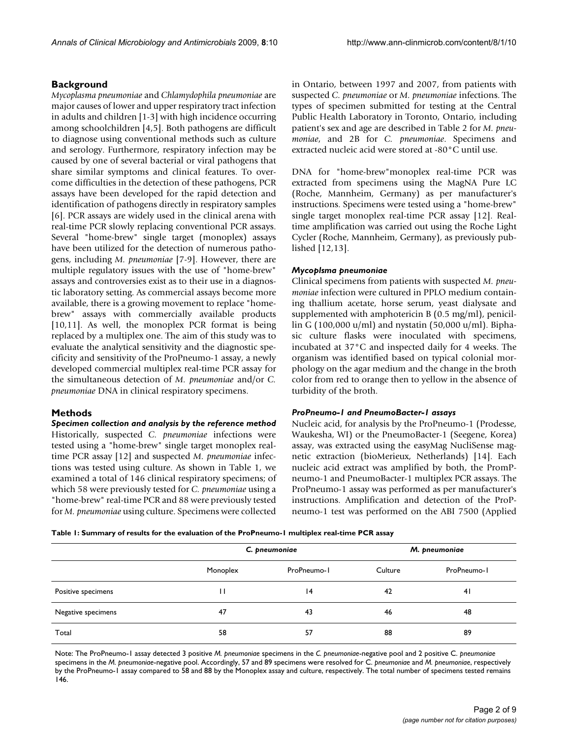#### **Background**

*Mycoplasma pneumoniae* and *Chlamydophila pneumoniae* are major causes of lower and upper respiratory tract infection in adults and children [1-3] with high incidence occurring among schoolchildren [4,5]. Both pathogens are difficult to diagnose using conventional methods such as culture and serology. Furthermore, respiratory infection may be caused by one of several bacterial or viral pathogens that share similar symptoms and clinical features. To overcome difficulties in the detection of these pathogens, PCR assays have been developed for the rapid detection and identification of pathogens directly in respiratory samples [6]. PCR assays are widely used in the clinical arena with real-time PCR slowly replacing conventional PCR assays. Several "home-brew" single target (monoplex) assays have been utilized for the detection of numerous pathogens, including *M. pneumoniae* [7-9]. However, there are multiple regulatory issues with the use of "home-brew" assays and controversies exist as to their use in a diagnostic laboratory setting. As commercial assays become more available, there is a growing movement to replace "homebrew" assays with commercially available products [10,11]. As well, the monoplex PCR format is being replaced by a multiplex one. The aim of this study was to evaluate the analytical sensitivity and the diagnostic specificity and sensitivity of the ProPneumo-1 assay, a newly developed commercial multiplex real-time PCR assay for the simultaneous detection of *M. pneumoniae* and/or *C. pneumoniae* DNA in clinical respiratory specimens.

#### **Methods**

*Specimen collection and analysis by the reference method* Historically, suspected *C. pneumoniae* infections were tested using a "home-brew" single target monoplex real-

time PCR assay [12] and suspected *M. pneumoniae* infections was tested using culture. As shown in Table 1, we examined a total of 146 clinical respiratory specimens; of which 58 were previously tested for *C. pneumoniae* using a "home-brew" real-time PCR and 88 were previously tested for *M. pneumoniae* using culture. Specimens were collected in Ontario, between 1997 and 2007, from patients with suspected *C. pneumoniae* or *M. pneumoniae* infections. The types of specimen submitted for testing at the Central Public Health Laboratory in Toronto, Ontario, including patient's sex and age are described in Table 2 for *M. pneumoniae*, and 2B for *C. pneumoniae*. Specimens and extracted nucleic acid were stored at -80°C until use.

DNA for "home-brew"monoplex real-time PCR was extracted from specimens using the MagNA Pure LC (Roche, Mannheim, Germany) as per manufacturer's instructions. Specimens were tested using a "home-brew" single target monoplex real-time PCR assay [12]. Realtime amplification was carried out using the Roche Light Cycler (Roche, Mannheim, Germany), as previously published [12,13].

#### *Mycoplsma pneumoniae*

Clinical specimens from patients with suspected *M. pneumoniae* infection were cultured in PPLO medium containing thallium acetate, horse serum, yeast dialysate and supplemented with amphotericin B (0.5 mg/ml), penicillin G (100,000 u/ml) and nystatin (50,000 u/ml). Biphasic culture flasks were inoculated with specimens, incubated at 37°C and inspected daily for 4 weeks. The organism was identified based on typical colonial morphology on the agar medium and the change in the broth color from red to orange then to yellow in the absence of turbidity of the broth.

#### *ProPneumo-1 and PneumoBacter-1 assays*

Nucleic acid, for analysis by the ProPneumo-1 (Prodesse, Waukesha, WI) or the PneumoBacter-1 (Seegene, Korea) assay, was extracted using the easyMag NucliSense magnetic extraction (bioMerieux, Netherlands) [14]. Each nucleic acid extract was amplified by both, the PromPneumo-1 and PneumoBacter-1 multiplex PCR assays. The ProPneumo-1 assay was performed as per manufacturer's instructions. Amplification and detection of the ProPneumo-1 test was performed on the ABI 7500 (Applied

|  |  | Table 1: Summary of results for the evaluation of the ProPneumo-1 multiplex real-time PCR assay |  |
|--|--|-------------------------------------------------------------------------------------------------|--|
|  |  |                                                                                                 |  |

|                    |          | C. pneumoniae | M. pneumoniae |                |  |
|--------------------|----------|---------------|---------------|----------------|--|
|                    | Monoplex | ProPneumo-1   | Culture       | ProPneumo-1    |  |
| Positive specimens | п        | 4             | 42            | 4 <sub>l</sub> |  |
| Negative specimens | 47       | 43            | 46            | 48             |  |
| Total              | 58       | 57            | 88            | 89             |  |

Note: The ProPneumo-1 assay detected 3 positive *M. pneumoniae* specimens in the *C. pneumoniae*-negative pool and 2 positive C. *pneumoniae*  specimens in the *M. pneumoniae*-negative pool. Accordingly, 57 and 89 specimens were resolved for C. *pneumoniae* and *M. pneumoniae*, respectively by the ProPneumo-1 assay compared to 58 and 88 by the Monoplex assay and culture, respectively. The total number of specimens tested remains 146.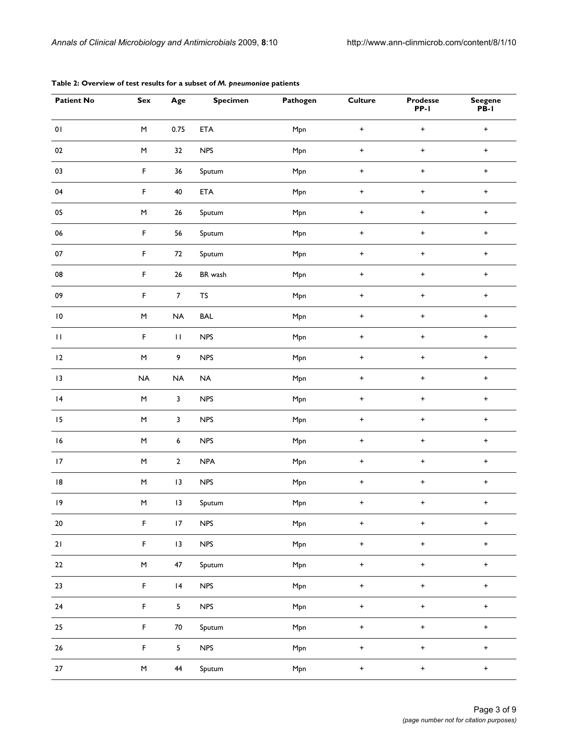| <b>Patient No</b>  | Sex                                                                                                        | Age                     | <b>Specimen</b>        | Pathogen | <b>Culture</b> | <b>Prodesse</b><br>$PP-I$ | <b>Seegene</b><br>$P\overline{B}$ -I |
|--------------------|------------------------------------------------------------------------------------------------------------|-------------------------|------------------------|----------|----------------|---------------------------|--------------------------------------|
| $\mathbf{0}$ l     | M                                                                                                          | 0.75                    | ETA                    | Mpn      | $\ddot{}$      | $+$                       | $\ddot{}$                            |
| 02                 | $\mathsf{M}% _{T}=\mathsf{M}_{T}\!\left( a,b\right) ,\ \mathsf{M}_{T}=\mathsf{M}_{T}\!\left( a,b\right) ,$ | 32                      | <b>NPS</b>             | Mpn      | $\ddot{}$      | $+$                       | $\ddot{}$                            |
| 03                 | $\mathsf F$                                                                                                | 36                      | Sputum                 | Mpn      | $\ddot{}$      | $+$                       | $\ddot{}$                            |
| 04                 | F                                                                                                          | 40                      | ETA                    | Mpn      | $\ddot{}$      | $+$                       | $\ddot{}$                            |
| 05                 | $\mathsf{M}% _{T}=\mathsf{M}_{T}\!\left( a,b\right) ,\ \mathsf{M}_{T}=\mathsf{M}_{T}\!\left( a,b\right) ,$ | $26\,$                  | Sputum                 | Mpn      | $\ddot{}$      | $+$                       | $\ddot{}$                            |
| 06                 | $\mathsf F$                                                                                                | 56                      | Sputum                 | Mpn      | $\ddot{}$      | $+$                       | $\bf +$                              |
| $07\,$             | F                                                                                                          | 72                      | Sputum                 | Mpn      | $\ddot{}$      | $+$                       | $\bf +$                              |
| 08                 | $\mathsf F$                                                                                                | 26                      | BR wash                | Mpn      | $\ddot{}$      | $+$                       | $\ddot{}$                            |
| 09                 | $\mathsf F$                                                                                                | $\overline{7}$          | $\mathsf{T}\mathsf{S}$ | Mpn      | $\ddot{}$      | $+$                       | $\ddot{}$                            |
| $\,$ l $\,$        | M                                                                                                          | NA                      | <b>BAL</b>             | Mpn      | $\ddot{}$      | $+$                       | $\ddot{}$                            |
| $\mathbf{H}% _{0}$ | $\mathsf F$                                                                                                | $\mathbf{H}$            | <b>NPS</b>             | Mpn      | $\ddot{}$      | $\pm$                     | $\bf +$                              |
| 12                 | $\mathsf{M}% _{T}=\mathsf{M}_{T}\!\left( a,b\right) ,\ \mathsf{M}_{T}=\mathsf{M}_{T}\!\left( a,b\right) ,$ | 9                       | NPS                    | Mpn      | $\ddot{}$      | $+$                       | $\bf +$                              |
| 13                 | NA                                                                                                         | $\sf NA$                | $\sf NA$               | Mpn      | $\ddot{}$      | $+$                       | $\bf +$                              |
| 4                  | $\mathsf{M}% _{T}=\mathsf{M}_{T}\!\left( a,b\right) ,\ \mathsf{M}_{T}=\mathsf{M}_{T}\!\left( a,b\right) ,$ | $\mathbf{3}$            | <b>NPS</b>             | Mpn      | $\ddot{}$      | $+$                       | $\ddot{}$                            |
| 15                 | M                                                                                                          | $\mathbf{3}$            | <b>NPS</b>             | Mpn      | $+$            | $\ddot{}$                 | $+$                                  |
| 16                 | M                                                                                                          | 6                       | <b>NPS</b>             | Mpn      | $\ddot{}$      | $+$                       | $\ddot{}$                            |
| 17                 | M                                                                                                          | $\mathbf{2}$            | <b>NPA</b>             | Mpn      | $\ddot{}$      | $+$                       | $\ddot{}$                            |
| 8                  | $\sf M$                                                                                                    | 13                      | NPS                    | Mpn      | $\ddot{}$      | $+$                       | $\bf +$                              |
| 9                  | $\mathsf{M}% _{T}=\mathsf{M}_{T}\!\left( a,b\right) ,\ \mathsf{M}_{T}=\mathsf{M}_{T}\!\left( a,b\right) ,$ | 13                      | Sputum                 | Mpn      | $\pmb{+}$      | $\ddot{}$                 | $\boldsymbol{+}$                     |
| $20\,$             | $\mathsf F$                                                                                                | 17                      | <b>NPS</b>             | Mpn      | $\ddot{}$      | $+$                       | $\bf +$                              |
| 21                 | $\mathsf F$                                                                                                | 13                      | NPS                    | Mpn      | $\pmb{+}$      | $\pm$                     | $\boldsymbol{+}$                     |
| 22                 | $\sf M$                                                                                                    | $47\,$                  | Sputum                 | Mpn      | $\pmb{+}$      | $\pm$                     | $\pmb{+}$                            |
| 23                 | $\mathsf F$                                                                                                | 4                       | NPS                    | Mpn      | $\pm$          | $\pm$                     | $\pmb{+}$                            |
| $24$               | $\mathsf F$                                                                                                | $\overline{\mathbf{5}}$ | <b>NPS</b>             | Mpn      | $\pmb{+}$      | $\boldsymbol{+}$          | $\boldsymbol{+}$                     |
| 25                 | $\mathsf F$                                                                                                | ${\bf 70}$              | Sputum                 | Mpn      | $\pm$          | $+$                       | $\boldsymbol{+}$                     |
| $26\,$             | $\mathsf F$                                                                                                | $\overline{\mathbf{5}}$ | <b>NPS</b>             | Mpn      | $+$            | $+$                       | $\pmb{+}$                            |
| $27\,$             | $\sf M$                                                                                                    | 44                      | Sputum                 | Mpn      | $+$            | $\pm$                     | $\pmb{+}$                            |

#### **Table 2: Overview of test results for a subset of** *M. pneumoniae* **patients**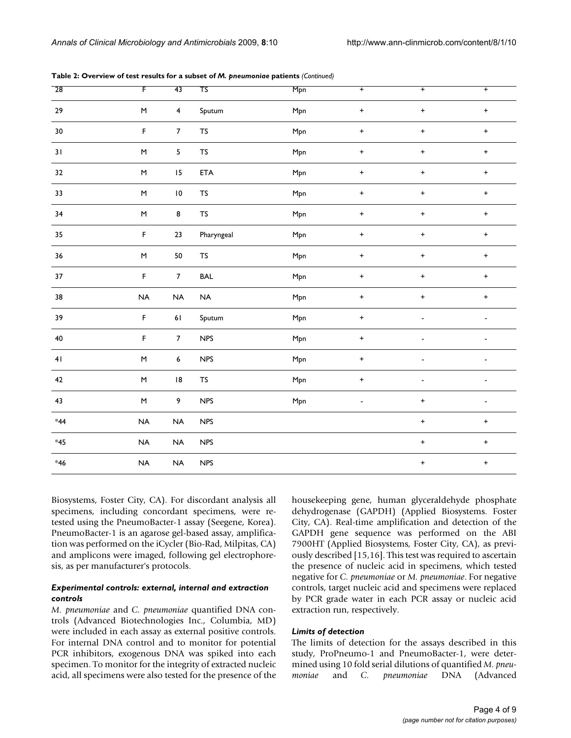| 28        | F                  | 43                      | $\overline{\mathsf{TS}}$ | Mpn | $\overline{+}$ | $\overline{+}$ | $\overline{+}$ |
|-----------|--------------------|-------------------------|--------------------------|-----|----------------|----------------|----------------|
| 29        | $\sf M$            | $\overline{\mathbf{4}}$ | Sputum                   | Mpn | $\pmb{+}$      | $\ddot{}$      | $\ddot{}$      |
| $30\,$    | $\bar{\mathsf{F}}$ | $\boldsymbol{7}$        | <b>TS</b>                | Mpn | $\pmb{+}$      | $\ddot{}$      | $\ddag$        |
| 31        | $\sf M$            | $\overline{\mathbf{5}}$ | <b>TS</b>                | Mpn | $\ddag$        | $\pmb{+}$      | $\pmb{+}$      |
| 32        | $\sf M$            | 15                      | ETA                      | Mpn | $\ddot{}$      | $\ddot{}$      | $+$            |
| 33        | $\sf M$            | $\,$ l $\,$             | <b>TS</b>                | Mpn | $\pmb{+}$      | $\ddot{}$      | $+$            |
| 34        | $\sf M$            | 8                       | <b>TS</b>                | Mpn | $\pmb{+}$      | $\pmb{+}$      | $\ddot{}$      |
| 35        | $\mathsf F$        | 23                      | Pharyngeal               | Mpn | $\pmb{+}$      | $\ddot{}$      | $\ddot{}$      |
| 36        | $\sf M$            | 50                      | <b>TS</b>                | Mpn | $\pmb{+}$      | $\pmb{+}$      | $+$            |
| 37        | $\mathsf F$        | $\overline{7}$          | <b>BAL</b>               | Mpn | $+$            | $\ddot{}$      | $\ddot{}$      |
| 38        | NA                 | $\sf NA$                | $\sf NA$                 | Mpn | $\pmb{+}$      | $\ddot{}$      | $+$            |
| 39        | $\mathsf F$        | $61\,$                  | Sputum                   | Mpn | $\pmb{+}$      |                |                |
| $40\,$    | $\mathsf F$        | $\boldsymbol{7}$        | ${\sf NPS}$              | Mpn | $\pmb{+}$      |                |                |
| 41        | $\sf M$            | $\boldsymbol{6}$        | ${\sf NPS}$              | Mpn | $\ddot{}$      |                |                |
| 42        | $\sf M$            | $\,$ l $\,$ 8 $\,$      | $\mathsf{T}\mathsf{S}$   | Mpn | $\ddot{}$      |                |                |
| 43        | $\sf M$            | 9                       | NPS                      | Mpn | $\overline{a}$ | $\ddot{}$      |                |
| $\ast$ 44 | NA                 | $\sf NA$                | NPS                      |     |                | $\pmb{+}$      | $\pmb{+}$      |
| $*45$     | NA                 | $\sf NA$                | <b>NPS</b>               |     |                | $\pmb{+}$      | $\pmb{+}$      |
| $*46$     | NA                 | $\sf NA$                | NPS                      |     |                | $\pmb{+}$      | $\pmb{+}$      |

**Table 2: Overview of test results for a subset of** *M. pneumoniae* **patients** *(Continued)*

Biosystems, Foster City, CA). For discordant analysis all specimens, including concordant specimens, were retested using the PneumoBacter-1 assay (Seegene, Korea). PneumoBacter-1 is an agarose gel-based assay, amplification was performed on the iCycler (Bio-Rad, Milpitas, CA) and amplicons were imaged, following gel electrophoresis, as per manufacturer's protocols.

#### *Experimental controls: external, internal and extraction controls*

*M. pneumoniae* and *C. pneumoniae* quantified DNA controls (Advanced Biotechnologies Inc., Columbia, MD) were included in each assay as external positive controls. For internal DNA control and to monitor for potential PCR inhibitors, exogenous DNA was spiked into each specimen. To monitor for the integrity of extracted nucleic acid, all specimens were also tested for the presence of the housekeeping gene, human glyceraldehyde phosphate dehydrogenase (GAPDH) (Applied Biosystems. Foster City, CA). Real-time amplification and detection of the GAPDH gene sequence was performed on the ABI 7900HT (Applied Biosystems, Foster City, CA), as previously described [15,16]. This test was required to ascertain the presence of nucleic acid in specimens, which tested negative for *C. pneumoniae* or *M. pneumoniae*. For negative controls, target nucleic acid and specimens were replaced by PCR grade water in each PCR assay or nucleic acid extraction run, respectively.

#### *Limits of detection*

The limits of detection for the assays described in this study, ProPneumo-1 and PneumoBacter-1, were determined using 10 fold serial dilutions of quantified *M. pneumoniae* and *C. pneumoniae* DNA (Advanced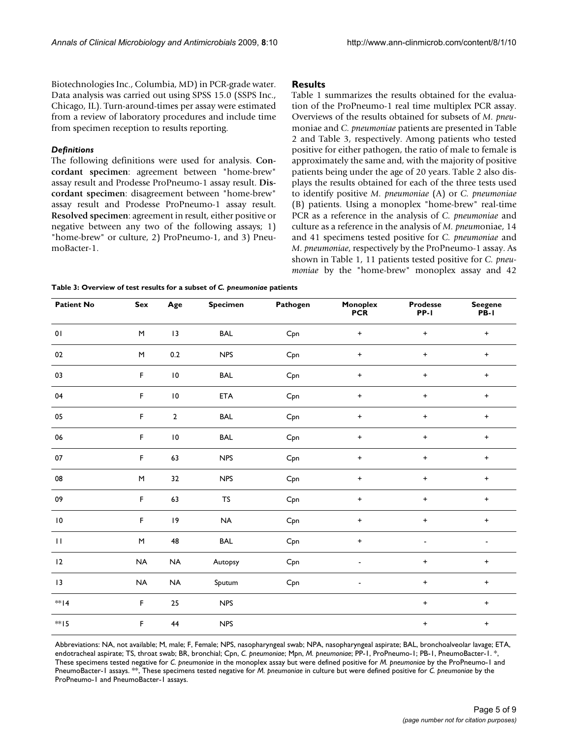Biotechnologies Inc., Columbia, MD) in PCR-grade water. Data analysis was carried out using SPSS 15.0 (SSPS Inc., Chicago, IL). Turn-around-times per assay were estimated from a review of laboratory procedures and include time from specimen reception to results reporting.

#### *Definitions*

The following definitions were used for analysis. **Concordant specimen**: agreement between "home-brew" assay result and Prodesse ProPneumo-1 assay result. **Discordant specimen**: disagreement between "home-brew" assay result and Prodesse ProPneumo-1 assay result. **Resolved specimen**: agreement in result, either positive or negative between any two of the following assays; 1) "home-brew" or culture, 2) ProPneumo-1, and 3) PneumoBacter-1.

#### **Results**

Table 1 summarizes the results obtained for the evaluation of the ProPneumo-1 real time multiplex PCR assay. Overviews of the results obtained for subsets of *M. pneu*moniae and *C. pneumoniae* patients are presented in Table 2 and Table 3, respectively. Among patients who tested positive for either pathogen, the ratio of male to female is approximately the same and, with the majority of positive patients being under the age of 20 years. Table 2 also displays the results obtained for each of the three tests used to identify positive *M. pneumoniae* (A) or *C. pneumoniae* (B) patients. Using a monoplex "home-brew" real-time PCR as a reference in the analysis of *C. pneumoniae* and culture as a reference in the analysis of *M. pneum*oniae, 14 and 41 specimens tested positive for *C. pneumoniae* and *M. pneumoniae*, respectively by the ProPneumo-1 assay. As shown in Table 1, 11 patients tested positive for *C. pneumoniae* by the "home-brew" monoplex assay and 42

**Table 3: Overview of test results for a subset of** *C. pneumoniae* **patients**

| <b>Patient No</b> | Sex                                                                                                        | Age          | <b>Specimen</b> | Pathogen | Monoplex<br><b>PCR</b>   | <b>Prodesse</b><br>PP-I | <b>Seegene</b><br>PB-I |
|-------------------|------------------------------------------------------------------------------------------------------------|--------------|-----------------|----------|--------------------------|-------------------------|------------------------|
| 01                | $\mathsf{M}% _{T}=\mathsf{M}_{T}\!\left( a,b\right) ,\ \mathsf{M}_{T}=\mathsf{M}_{T}\!\left( a,b\right) ,$ | 13           | <b>BAL</b>      | Cpn      | $\ddot{}$                | $\ddot{}$               | $+$                    |
| 02                | $\mathsf{M}% _{T}=\mathsf{M}_{T}\!\left( a,b\right) ,\ \mathsf{M}_{T}=\mathsf{M}_{T}\!\left( a,b\right) ,$ | 0.2          | <b>NPS</b>      | Cpn      | $\ddot{}$                | $\ddot{}$               | $+$                    |
| 03                | $\mathsf F$                                                                                                | $\,$ IO $\,$ | <b>BAL</b>      | Cpn      | $\ddot{}$                | $\ddot{}$               | $+$                    |
| 04                | F                                                                                                          | $\,$ IO $\,$ | ETA             | Cpn      | $+$                      | $+$                     | $+$                    |
| 05                | F                                                                                                          | $\mathbf 2$  | <b>BAL</b>      | Cpn      | $\ddot{}$                | $\ddot{}$               | $+$                    |
| 06                | $\mathsf F$                                                                                                | $\,$ IO $\,$ | <b>BAL</b>      | Cpn      | $\ddot{}$                | $\ddot{}$               | $+$                    |
| 07                | $\mathsf F$                                                                                                | 63           | <b>NPS</b>      | Cpn      | $\ddot{}$                | $\ddot{}$               | $+$                    |
| 08                | $\mathsf{M}% _{T}=\mathsf{M}_{T}\!\left( a,b\right) ,\ \mathsf{M}_{T}=\mathsf{M}_{T}\!\left( a,b\right) ,$ | 32           | <b>NPS</b>      | Cpn      | $\ddot{}$                | $+$                     | $+$                    |
| 09                | F                                                                                                          | 63           | ${\sf TS}$      | Cpn      | $\ddot{}$                | $\ddot{}$               | $+$                    |
| $\,$ IO $\,$      | F                                                                                                          | 9            | <b>NA</b>       | Cpn      | $+$                      | $\ddot{}$               | $+$                    |
| $\mathbf{H}$      | $\mathsf{M}% _{T}=\mathsf{M}_{T}\!\left( a,b\right) ,\ \mathsf{M}_{T}=\mathsf{M}_{T}\!\left( a,b\right) ,$ | 48           | <b>BAL</b>      | Cpn      | $\ddot{}$                | $\blacksquare$          |                        |
| 12                | <b>NA</b>                                                                                                  | <b>NA</b>    | Autopsy         | Cpn      | $\blacksquare$           | $\ddot{}$               | $+$                    |
| 13                | <b>NA</b>                                                                                                  | <b>NA</b>    | Sputum          | Cpn      | $\overline{\phantom{a}}$ | $\bf +$                 | $+$                    |
| ** 4              | $\mathsf F$                                                                                                | 25           | <b>NPS</b>      |          |                          | $\ddot{}$               | $+$                    |
| **15              | F                                                                                                          | 44           | <b>NPS</b>      |          |                          | $+$                     | $+$                    |

Abbreviations: NA, not available; M, male; F, Female; NPS, nasopharyngeal swab; NPA, nasopharyngeal aspirate; BAL, bronchoalveolar lavage; ETA, endotracheal aspirate; TS, throat swab; BR, bronchial; Cpn, *C. pneumoniae*; Mpn, *M. pneumoniae*; PP-1, ProPneumo-1; PB-1, PneumoBacter-1. \*, These specimens tested negative for *C. pneumoniae* in the monoplex assay but were defined positive for *M. pneumoniae* by the ProPneumo-1 and PneumoBacter-1 assays. \*\*, These specimens tested negative for *M. pneumoniae* in culture but were defined positive for *C. pneumoniae* by the ProPneumo-1 and PneumoBacter-1 assays.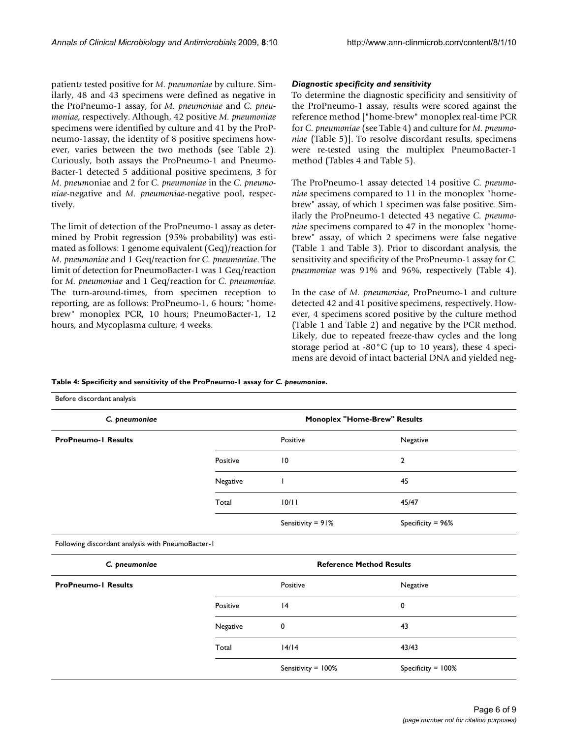patient*s* tested positive for *M. pneumoniae* by culture. Similarly, 48 and 43 specimens were defined as negative in the ProPneumo-1 assay, for *M. pneumoniae* and *C. pneumoniae*, respectively. Although, 42 positive *M. pneumoniae* specimens were identified by culture and 41 by the ProPneumo-1assay, the identity of 8 positive specimens however, varies between the two methods (see Table 2). Curiously, both assays the ProPneumo-1 and Pneumo-Bacter-1 detected 5 additional positive specimens, 3 for *M. pneum*oniae and 2 for *C. pneumoniae* in the *C. pneumoniae*-negative and *M. pneumoniae*-negative pool, respectively.

The limit of detection of the ProPneumo-1 assay as determined by Probit regression (95% probability) was estimated as follows: 1 genome equivalent (Geq)/reaction for *M. pneumoniae* and 1 Geq/reaction for *C. pneumoniae*. The limit of detection for PneumoBacter-1 was 1 Geq/reaction for *M. pneumoniae* and 1 Geq/reaction for *C. pneumoniae*. The turn-around-times, from specimen reception to reporting, are as follows: ProPneumo-1, 6 hours; "homebrew" monoplex PCR, 10 hours; PneumoBacter-1, 12 hours, and Mycoplasma culture, 4 weeks.

#### *Diagnostic specificity and sensitivity*

To determine the diagnostic specificity and sensitivity of the ProPneumo-1 assay, results were scored against the reference method ["home-brew" monoplex real-time PCR for *C. pneumoniae* (see Table 4) and culture for *M. pneumoniae* (Table 5)]. To resolve discordant results, specimens were re-tested using the multiplex PneumoBacter-1 method (Tables 4 and Table 5).

The ProPneumo-1 assay detected 14 positive *C. pneumoniae* specimens compared to 11 in the monoplex "homebrew" assay, of which 1 specimen was false positive. Similarly the ProPneumo-1 detected 43 negative *C. pneumoniae* specimens compared to 47 in the monoplex "homebrew" assay, of which 2 specimens were false negative (Table 1 and Table 3). Prior to discordant analysis, the sensitivity and specificity of the ProPneumo-1 assay for *C. pneumoniae* was 91% and 96%, respectively (Table 4).

In the case of *M. pneumoniae*, ProPneumo-1 and culture detected 42 and 41 positive specimens, respectively. However, 4 specimens scored positive by the culture method (Table 1 and Table 2) and negative by the PCR method. Likely, due to repeated freeze-thaw cycles and the long storage period at -80°C (up to 10 years), these 4 specimens are devoid of intact bacterial DNA and yielded neg-

#### **Table 4: Specificity and sensitivity of the ProPneumo-1 assay for** *C. pneumoniae***.**

Before discordant analysis *C. pneumoniae* **Monoplex "Home-Brew" Results ProPneumo-1 Results ProPneumo-1 Results Positive** Positive **ProPneumo-1 Results** Positive 10 2 Negative 1 45 Total 10/11 45/47 Sensitivity = 91% Specificity = 96% Following discordant analysis with PneumoBacter-1 *C. pneumoniae* **Reference Method Results ProPneumo-1 Results Positive** Positive **ProPneumo-1 Results** Positive 14 0 Negative 0 43 Total 14/14 43/43 Sensitivity = 100% Specificity = 100%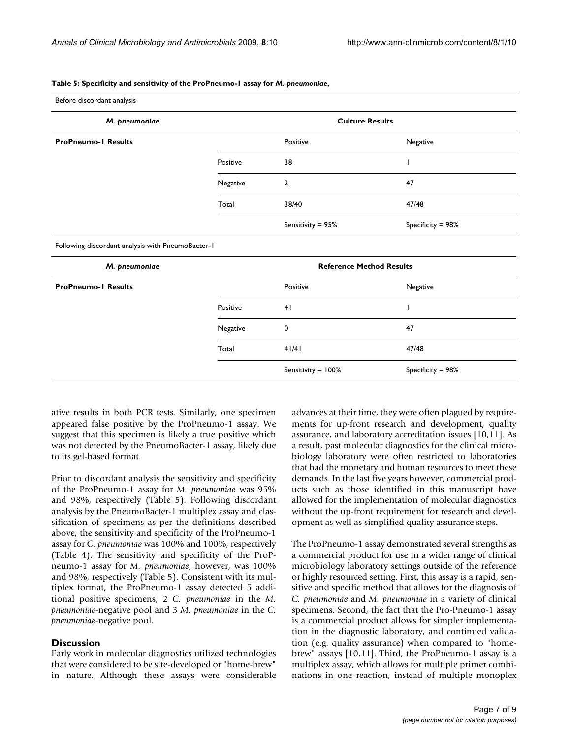#### **Table 5: Specificity and sensitivity of the ProPneumo-1 assay for** *M. pneumoniae***,**

| Before discordant analysis                        |                                 |                        |                   |  |
|---------------------------------------------------|---------------------------------|------------------------|-------------------|--|
| M. pneumoniae                                     |                                 | <b>Culture Results</b> |                   |  |
| <b>ProPneumo-I Results</b>                        |                                 | Positive               | Negative          |  |
|                                                   | Positive                        | 38                     |                   |  |
|                                                   | Negative                        | $\overline{2}$         | 47                |  |
|                                                   | Total                           | 38/40                  | 47/48             |  |
|                                                   |                                 | Sensitivity = 95%      | Specificity = 98% |  |
| Following discordant analysis with PneumoBacter-1 |                                 |                        |                   |  |
| M. pneumoniae                                     | <b>Reference Method Results</b> |                        |                   |  |
| <b>ProPneumo-I Results</b>                        |                                 | Positive               | Negative          |  |
|                                                   | Positive                        | 41                     |                   |  |
|                                                   | Negative                        | 0                      | 47                |  |
|                                                   | Total                           | 41/41                  | 47/48             |  |
|                                                   |                                 | Sensitivity = 100%     | Specificity = 98% |  |

ative results in both PCR tests. Similarly, one specimen appeared false positive by the ProPneumo-1 assay. We suggest that this specimen is likely a true positive which was not detected by the PneumoBacter-1 assay, likely due to its gel-based format.

Prior to discordant analysis the sensitivity and specificity of the ProPneumo-1 assay for *M. pneumoniae* was 95% and 98%, respectively (Table 5). Following discordant analysis by the PneumoBacter-1 multiplex assay and classification of specimens as per the definitions described above, the sensitivity and specificity of the ProPneumo-1 assay for *C. pneumoniae* was 100% and 100%, respectively (Table 4). The sensitivity and specificity of the ProPneumo-1 assay for *M. pneumoniae*, however, was 100% and 98%, respectively (Table 5). Consistent with its multiplex format, the ProPneumo-1 assay detected 5 additional positive specimens, 2 *C. pneumoniae* in the *M. pneumoniae*-negative pool and 3 *M. pneumoniae* in the *C. pneumoniae*-negative pool.

#### **Discussion**

Early work in molecular diagnostics utilized technologies that were considered to be site-developed or "home-brew" in nature. Although these assays were considerable advances at their time, they were often plagued by requirements for up-front research and development, quality assurance, and laboratory accreditation issues [10,11]. As a result, past molecular diagnostics for the clinical microbiology laboratory were often restricted to laboratories that had the monetary and human resources to meet these demands. In the last five years however, commercial products such as those identified in this manuscript have allowed for the implementation of molecular diagnostics without the up-front requirement for research and development as well as simplified quality assurance steps.

The ProPneumo-1 assay demonstrated several strengths as a commercial product for use in a wider range of clinical microbiology laboratory settings outside of the reference or highly resourced setting. First, this assay is a rapid, sensitive and specific method that allows for the diagnosis of *C. pneumoniae* and *M. pneumoniae* in a variety of clinical specimens. Second, the fact that the Pro-Pneumo-1 assay is a commercial product allows for simpler implementation in the diagnostic laboratory, and continued validation (e.g. quality assurance) when compared to "homebrew" assays [10,11]. Third, the ProPneumo-1 assay is a multiplex assay, which allows for multiple primer combinations in one reaction, instead of multiple monoplex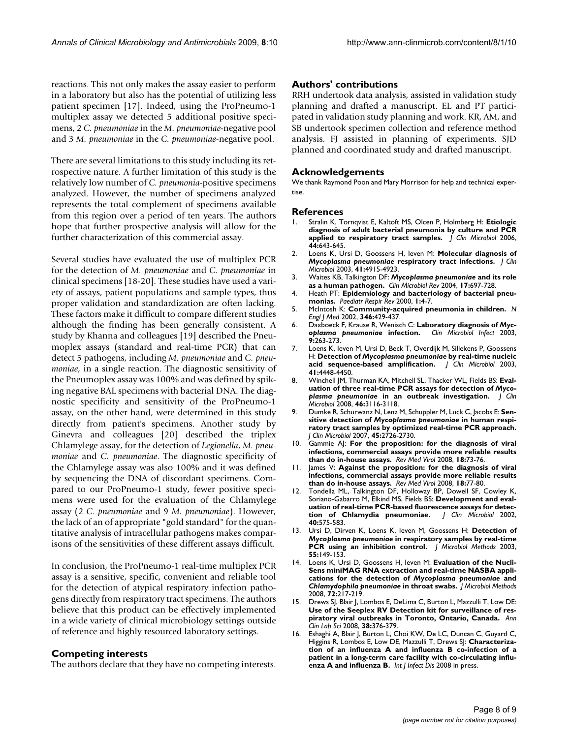reactions. This not only makes the assay easier to perform in a laboratory but also has the potential of utilizing less patient specimen [17]. Indeed, using the ProPneumo-1 multiplex assay we detected 5 additional positive specimens, 2 *C. pneumoniae* in the *M. pneumoniae*-negative pool and 3 *M. pneumoniae* in the *C. pneumoniae*-negative pool.

There are several limitations to this study including its retrospective nature. A further limitation of this study is the relatively low number of *C. pneumonia*-positive specimens analyzed. However, the number of specimens analyzed represents the total complement of specimens available from this region over a period of ten years. The authors hope that further prospective analysis will allow for the further characterization of this commercial assay.

Several studies have evaluated the use of multiplex PCR for the detection of *M. pneumoniae* and *C. pneumoniae* in clinical specimens [18-20]. These studies have used a variety of assays, patient populations and sample types, thus proper validation and standardization are often lacking. These factors make it difficult to compare different studies although the finding has been generally consistent. A study by Khanna and colleagues [19] described the Pneumoplex assays (standard and real-time PCR) that can detect 5 pathogens, including *M. pneumoniae* and *C. pneumoniae*, in a single reaction. The diagnostic sensitivity of the Pneumoplex assay was 100% and was defined by spiking negative BAL specimens with bacterial DNA. The diagnostic specificity and sensitivity of the ProPneumo-1 assay, on the other hand, were determined in this study directly from patient's specimens. Another study by Ginevra and colleagues [20] described the triplex Chlamylege assay, for the detection of *Legionella*, *M. pneumoniae* and *C. pneumoniae*. The diagnostic specificity of the Chlamylege assay was also 100% and it was defined by sequencing the DNA of discordant specimens. Compared to our ProPneumo-1 study, fewer positive specimens were used for the evaluation of the Chlamylege assay (2 *C. pneumoniae* and 9 *M. pneumoniae*). However, the lack of an of appropriate "gold standard" for the quantitative analysis of intracellular pathogens makes comparisons of the sensitivities of these different assays difficult.

In conclusion, the ProPneumo-1 real-time multiplex PCR assay is a sensitive, specific, convenient and reliable tool for the detection of atypical respiratory infection pathogens directly from respiratory tract specimens. The authors believe that this product can be effectively implemented in a wide variety of clinical microbiology settings outside of reference and highly resourced laboratory settings.

#### **Competing interests**

The authors declare that they have no competing interests.

### **Authors' contributions**

RRH undertook data analysis, assisted in validation study planning and drafted a manuscript. EL and PT participated in validation study planning and work. KR, AM, and SB undertook specimen collection and reference method analysis. FJ assisted in planning of experiments. SJD planned and coordinated study and drafted manuscript.

#### **Acknowledgements**

We thank Raymond Poon and Mary Morrison for help and technical expertise.

#### **References**

- 1. Stralin K, Tornqvist E, Kaltoft MS, Olcen P, Holmberg H: **[Etiologic](http://www.ncbi.nlm.nih.gov/entrez/query.fcgi?cmd=Retrieve&db=PubMed&dopt=Abstract&list_uids=16455935) [diagnosis of adult bacterial pneumonia by culture and PCR](http://www.ncbi.nlm.nih.gov/entrez/query.fcgi?cmd=Retrieve&db=PubMed&dopt=Abstract&list_uids=16455935) [applied to respiratory tract samples.](http://www.ncbi.nlm.nih.gov/entrez/query.fcgi?cmd=Retrieve&db=PubMed&dopt=Abstract&list_uids=16455935)** *J Clin Microbiol* 2006, **44:**643-645.
- 2. Loens K, Ursi D, Goossens H, Ieven M: **Molecular diagnosis of** *Mycoplasma pneumoniae* **[respiratory tract infections.](http://www.ncbi.nlm.nih.gov/entrez/query.fcgi?cmd=Retrieve&db=PubMed&dopt=Abstract&list_uids=14605118)** *J Clin Microbiol* 2003, **41:**4915-4923.
- 3. Waites KB, Talkington DF: *Mycoplasma pneumoniae* **[and its role](http://www.ncbi.nlm.nih.gov/entrez/query.fcgi?cmd=Retrieve&db=PubMed&dopt=Abstract&list_uids=15489344) [as a human pathogen.](http://www.ncbi.nlm.nih.gov/entrez/query.fcgi?cmd=Retrieve&db=PubMed&dopt=Abstract&list_uids=15489344)** *Clin Microbiol Rev* 2004, **17:**697-728.
- 4. Heath PT: **[Epidemiology and bacteriology of bacterial pneu](http://www.ncbi.nlm.nih.gov/entrez/query.fcgi?cmd=Retrieve&db=PubMed&dopt=Abstract&list_uids=16263435)[monias.](http://www.ncbi.nlm.nih.gov/entrez/query.fcgi?cmd=Retrieve&db=PubMed&dopt=Abstract&list_uids=16263435)** *Paediatr Respir Rev* 2000, **1:**4-7.
- 5. McIntosh K: **[Community-acquired pneumonia in children.](http://www.ncbi.nlm.nih.gov/entrez/query.fcgi?cmd=Retrieve&db=PubMed&dopt=Abstract&list_uids=11832532)** *N Engl J Med* 2002, **346:**429-437.
- 6. Daxboeck F, Krause R, Wenisch C: **Laboratory diagnosis of** *Mycoplasma pneumoniae* **[infection.](http://www.ncbi.nlm.nih.gov/entrez/query.fcgi?cmd=Retrieve&db=PubMed&dopt=Abstract&list_uids=12667235)** *Clin Microbiol Infect* 2003, **9:**263-273.
- 7. Loens K, Ieven M, Ursi D, Beck T, Overdijk M, Sillekens P, Goossens H: **Detection of** *Mycoplasma pneumoniae* **[by real-time nucleic](http://www.ncbi.nlm.nih.gov/entrez/query.fcgi?cmd=Retrieve&db=PubMed&dopt=Abstract&list_uids=12958290) [acid sequence-based amplification.](http://www.ncbi.nlm.nih.gov/entrez/query.fcgi?cmd=Retrieve&db=PubMed&dopt=Abstract&list_uids=12958290)** *J Clin Microbiol* 2003, **41:**4448-4450.
- 8. Winchell JM, Thurman KA, Mitchell SL, Thacker WL, Fields BS: **Evaluation of three real-time PCR assays for detection of** *Mycoplasma pneumoniae* **[in an outbreak investigation.](http://www.ncbi.nlm.nih.gov/entrez/query.fcgi?cmd=Retrieve&db=PubMed&dopt=Abstract&list_uids=18614663)** *J Clin Microbiol* 2008, **46:**3116-3118.
- 9. Dumke R, Schurwanz N, Lenz M, Schuppler M, Luck C, Jacobs E: **Sensitive detection of** *Mycoplasma pneumoniae* **[in human respi](http://www.ncbi.nlm.nih.gov/entrez/query.fcgi?cmd=Retrieve&db=PubMed&dopt=Abstract&list_uids=17537933)[ratory tract samples by optimized real-time PCR approach.](http://www.ncbi.nlm.nih.gov/entrez/query.fcgi?cmd=Retrieve&db=PubMed&dopt=Abstract&list_uids=17537933)** *J Clin Microbiol* 2007, **45:**2726-2730.
- 10. Gammie AJ: **[For the proposition: for the diagnosis of viral](http://www.ncbi.nlm.nih.gov/entrez/query.fcgi?cmd=Retrieve&db=PubMed&dopt=Abstract&list_uids=18306442) [infections, commercial assays provide more reliable results](http://www.ncbi.nlm.nih.gov/entrez/query.fcgi?cmd=Retrieve&db=PubMed&dopt=Abstract&list_uids=18306442) [than do in-house assays.](http://www.ncbi.nlm.nih.gov/entrez/query.fcgi?cmd=Retrieve&db=PubMed&dopt=Abstract&list_uids=18306442)** *Rev Med Virol* 2008, **18:**73-76.
- 11. James V: **[Against the proposition: for the diagnosis of viral](http://www.ncbi.nlm.nih.gov/entrez/query.fcgi?cmd=Retrieve&db=PubMed&dopt=Abstract&list_uids=18306441) [infections, commercial assays provide more reliable results](http://www.ncbi.nlm.nih.gov/entrez/query.fcgi?cmd=Retrieve&db=PubMed&dopt=Abstract&list_uids=18306441) [than do in-house assays.](http://www.ncbi.nlm.nih.gov/entrez/query.fcgi?cmd=Retrieve&db=PubMed&dopt=Abstract&list_uids=18306441)** *Rev Med Virol* 2008, **18:**77-80.
- 12. Tondella ML, Talkington DF, Holloway BP, Dowell SF, Cowley K, Soriano-Gabarro M, Elkind MS, Fields BS: **[Development and eval](http://www.ncbi.nlm.nih.gov/entrez/query.fcgi?cmd=Retrieve&db=PubMed&dopt=Abstract&list_uids=11825973)uation of real-time PCR-based fluorescence assays for detection of Chlamydia pneumoniae.** | Clin Microbiol 2002, **[tion of Chlamydia pneumoniae.](http://www.ncbi.nlm.nih.gov/entrez/query.fcgi?cmd=Retrieve&db=PubMed&dopt=Abstract&list_uids=11825973)** *J Clin Microbiol* 2002, **40:**575-583.
- 13. Ursi D, Dirven K, Loens K, Ieven M, Goossens H: **Detection of** *Mycoplasma pneumoniae* **[in respiratory samples by real-time](http://www.ncbi.nlm.nih.gov/entrez/query.fcgi?cmd=Retrieve&db=PubMed&dopt=Abstract&list_uids=14500006) [PCR using an inhibition control.](http://www.ncbi.nlm.nih.gov/entrez/query.fcgi?cmd=Retrieve&db=PubMed&dopt=Abstract&list_uids=14500006)** *J Microbiol Methods* 2003, **55:**149-153.
- 14. Loens K, Ursi D, Goossens H, Ieven M: **Evaluation of the Nucli-Sens miniMAG RNA extraction and real-time NASBA applications for the detection of** *Mycoplasma pneumoniae* **and** *Chlamydophila pneumoniae* **[in throat swabs.](http://www.ncbi.nlm.nih.gov/entrez/query.fcgi?cmd=Retrieve&db=PubMed&dopt=Abstract&list_uids=18077024)** *J Microbiol Methods* 2008, **72:**217-219.
- 15. Drews SJ, Blair J, Lombos E, DeLima C, Burton L, Mazzulli T, Low DE: **[Use of the Seeplex RV Detection kit for surveillance of res](http://www.ncbi.nlm.nih.gov/entrez/query.fcgi?cmd=Retrieve&db=PubMed&dopt=Abstract&list_uids=18988931)[piratory viral outbreaks in Toronto, Ontario, Canada.](http://www.ncbi.nlm.nih.gov/entrez/query.fcgi?cmd=Retrieve&db=PubMed&dopt=Abstract&list_uids=18988931)** *Ann Clin Lab Sci* 2008, **38:**376-379.
- Eshaghi A, Blair J, Burton L, Choi KW, De LC, Duncan C, Guyard C, Higgins R, Lombos E, Low DE, Mazzulli T, Drews S|: [Characteriza](http://www.ncbi.nlm.nih.gov/entrez/query.fcgi?cmd=Retrieve&db=PubMed&dopt=Abstract&list_uids=18849179 )**[tion of an influenza A and influenza B co-infection of a](http://www.ncbi.nlm.nih.gov/entrez/query.fcgi?cmd=Retrieve&db=PubMed&dopt=Abstract&list_uids=18849179 ) patient in a long-term care facility with co-circulating influ[enza A and influenza B.](http://www.ncbi.nlm.nih.gov/entrez/query.fcgi?cmd=Retrieve&db=PubMed&dopt=Abstract&list_uids=18849179 )** *Int J Infect Dis* 2008 in press.